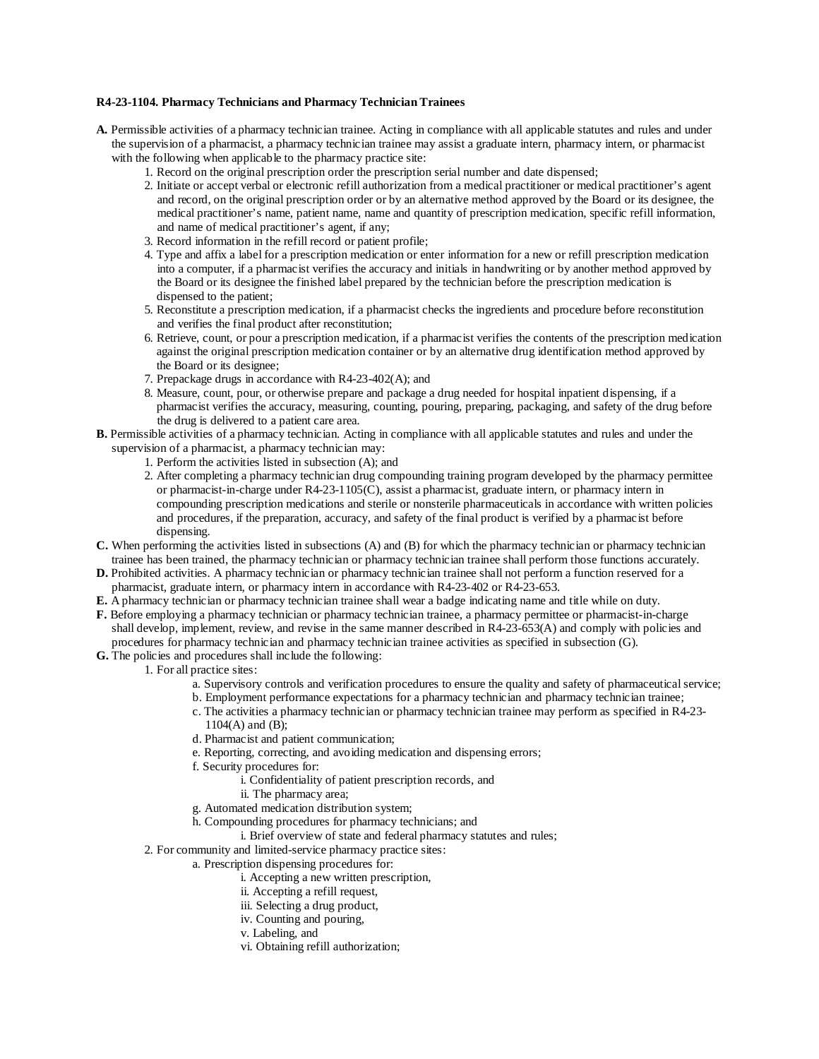## **R4-23-1104. Pharmacy Technicians and Pharmacy Technician Trainees**

- **A.** Permissible activities of a pharmacy technician trainee. Acting in compliance with all applicable statutes and rules and under the supervision of a pharmacist, a pharmacy technician trainee may assist a graduate intern, pharmacy intern, or pharmacist with the following when applicable to the pharmacy practice site:
	- 1. Record on the original prescription order the prescription serial number and date dispensed;
	- 2. Initiate or accept verbal or electronic refill authorization from a medical practitioner or medical practitioner's agent and record, on the original prescription order or by an alternative method approved by the Board or its designee, the medical practitioner's name, patient name, name and quantity of prescription medication, specific refill information, and name of medical practitioner's agent, if any;
	- 3. Record information in the refill record or patient profile;
	- 4. Type and affix a label for a prescription medication or enter information for a new or refill prescription medication into a computer, if a pharmacist verifies the accuracy and initials in handwriting or by another method approved by the Board or its designee the finished label prepared by the technician before the prescription medication is dispensed to the patient;
	- 5. Reconstitute a prescription medication, if a pharmacist checks the ingredients and procedure before reconstitution and verifies the final product after reconstitution;
	- 6. Retrieve, count, or pour a prescription medication, if a pharmacist verifies the contents of the prescription medication against the original prescription medication container or by an alternative drug identification method approved by the Board or its designee;
	- 7. Prepackage drugs in accordance with R4-23-402(A); and
	- 8. Measure, count, pour, or otherwise prepare and package a drug needed for hospital inpatient dispensing, if a pharmacist verifies the accuracy, measuring, counting, pouring, preparing, packaging, and safety of the drug before the drug is delivered to a patient care area.
- **B.** Permissible activities of a pharmacy technician. Acting in compliance with all applicable statutes and rules and under the supervision of a pharmacist, a pharmacy technician may:
	- 1. Perform the activities listed in subsection (A); and
	- 2. After completing a pharmacy technician drug compounding training program developed by the pharmacy permittee or pharmacist-in-charge under R4-23-1105(C), assist a pharmacist, graduate intern, or pharmacy intern in compounding prescription medications and sterile or nonsterile pharmaceuticals in accordance with written policies and procedures, if the preparation, accuracy, and safety of the final product is verified by a pharmacist before dispensing.
- **C.** When performing the activities listed in subsections (A) and (B) for which the pharmacy technician or pharmacy technician trainee has been trained, the pharmacy technician or pharmacy technician trainee shall perform those functions accurately.
- **D.** Prohibited activities. A pharmacy technician or pharmacy technician trainee shall not perform a function reserved for a pharmacist, graduate intern, or pharmacy intern in accordance with R4-23-402 or R4-23-653.
- **E.** A pharmacy technician or pharmacy technician trainee shall wear a badge indicating name and title while on duty.
- **F.** Before employing a pharmacy technician or pharmacy technician trainee, a pharmacy permittee or pharmacist-in-charge shall develop, implement, review, and revise in the same manner described in R4-23-653(A) and comply with policies and procedures for pharmacy technician and pharmacy technician trainee activities as specified in subsection (G).
- **G.** The policies and procedures shall include the following:
	- 1. For all practice sites:
		- a. Supervisory controls and verification procedures to ensure the quality and safety of pharmaceutical service;
		- b. Employment performance expectations for a pharmacy technician and pharmacy technician trainee;
		- c. The activities a pharmacy technician or pharmacy technician trainee may perform as specified in R4-23- 1104(A) and (B);
		- d. Pharmacist and patient communication;
		- e. Reporting, correcting, and avoiding medication and dispensing errors;
		- f. Security procedures for:
			- i. Confidentiality of patient prescription records, and
			- ii. The pharmacy area;
		- g. Automated medication distribution system;
		- h. Compounding procedures for pharmacy technicians; and
		- i. Brief overview of state and federal pharmacy statutes and rules;
	- 2. For community and limited-service pharmacy practice sites:
		- a. Prescription dispensing procedures for:
			- i. Accepting a new written prescription,
			- ii. Accepting a refill request,
			- iii. Selecting a drug product,
			- iv. Counting and pouring,
			- v. Labeling, and
			- vi. Obtaining refill authorization;